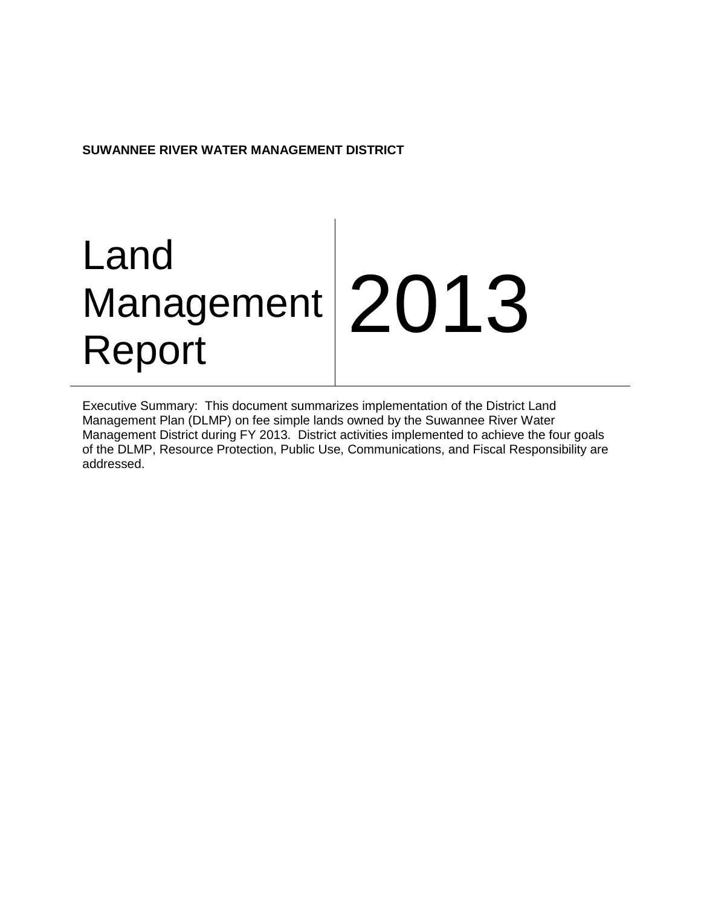**SUWANNEE RIVER WATER MANAGEMENT DISTRICT**

# Land Management Report 2013

Executive Summary: This document summarizes implementation of the District Land Management Plan (DLMP) on fee simple lands owned by the Suwannee River Water Management District during FY 2013. District activities implemented to achieve the four goals of the DLMP, Resource Protection, Public Use, Communications, and Fiscal Responsibility are addressed.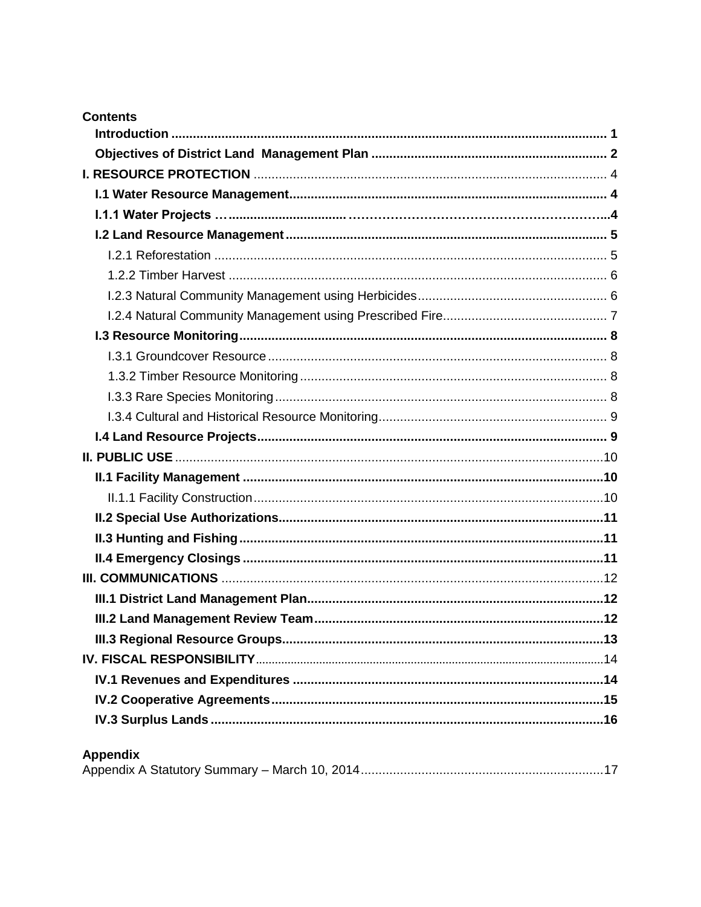| <b>Contents</b> |  |
|-----------------|--|
|                 |  |
|                 |  |
|                 |  |
|                 |  |
|                 |  |
|                 |  |
|                 |  |
|                 |  |
|                 |  |
|                 |  |
|                 |  |
|                 |  |
|                 |  |
|                 |  |
|                 |  |
|                 |  |
|                 |  |
|                 |  |
|                 |  |
|                 |  |
|                 |  |
|                 |  |
|                 |  |
|                 |  |
|                 |  |
|                 |  |
|                 |  |
|                 |  |
|                 |  |
|                 |  |
|                 |  |

# **Appendix**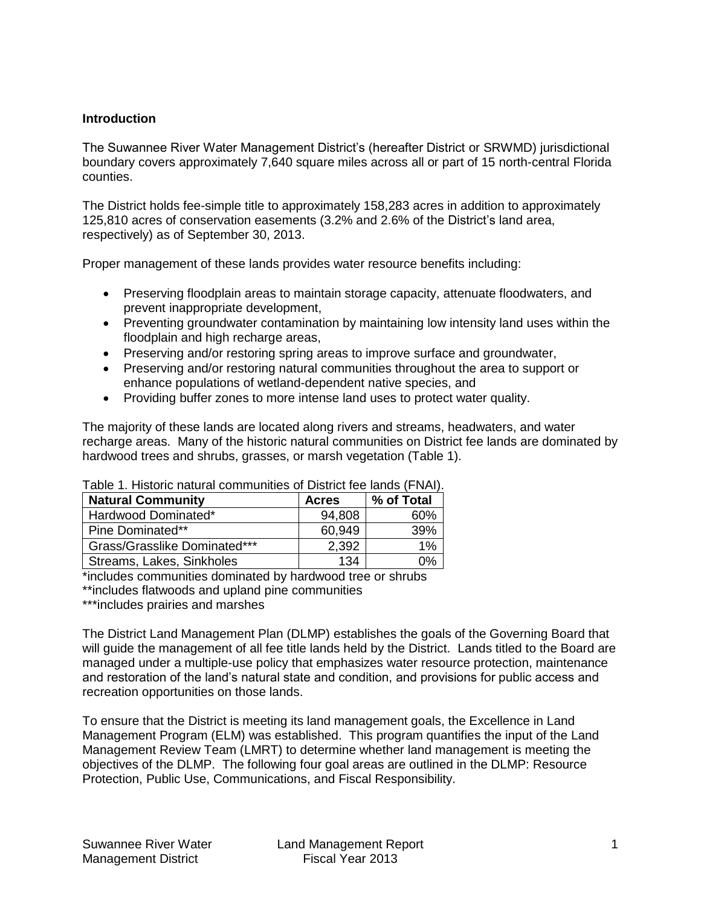## **Introduction**

The Suwannee River Water Management District's (hereafter District or SRWMD) jurisdictional boundary covers approximately 7,640 square miles across all or part of 15 north-central Florida counties.

The District holds fee-simple title to approximately 158,283 acres in addition to approximately 125,810 acres of conservation easements (3.2% and 2.6% of the District's land area, respectively) as of September 30, 2013.

Proper management of these lands provides water resource benefits including:

- Preserving floodplain areas to maintain storage capacity, attenuate floodwaters, and prevent inappropriate development,
- Preventing groundwater contamination by maintaining low intensity land uses within the floodplain and high recharge areas,
- Preserving and/or restoring spring areas to improve surface and groundwater,
- Preserving and/or restoring natural communities throughout the area to support or enhance populations of wetland-dependent native species, and
- Providing buffer zones to more intense land uses to protect water quality.

The majority of these lands are located along rivers and streams, headwaters, and water recharge areas. Many of the historic natural communities on District fee lands are dominated by hardwood trees and shrubs, grasses, or marsh vegetation (Table 1).

| <b>Natural Community</b>     | <b>Acres</b> | % of Total |
|------------------------------|--------------|------------|
| Hardwood Dominated*          | 94,808       | 60%        |
| Pine Dominated**             | 60.949       | 39%        |
| Grass/Grasslike Dominated*** | 2,392        | 1%         |
| Streams, Lakes, Sinkholes    | 134          |            |

Table 1. Historic natural communities of District fee lands (FNAI).

\*includes communities dominated by hardwood tree or shrubs

\*\*includes flatwoods and upland pine communities

\*\*\*includes prairies and marshes

The District Land Management Plan (DLMP) establishes the goals of the Governing Board that will guide the management of all fee title lands held by the District. Lands titled to the Board are managed under a multiple-use policy that emphasizes water resource protection, maintenance and restoration of the land's natural state and condition, and provisions for public access and recreation opportunities on those lands.

To ensure that the District is meeting its land management goals, the Excellence in Land Management Program (ELM) was established. This program quantifies the input of the Land Management Review Team (LMRT) to determine whether land management is meeting the objectives of the DLMP. The following four goal areas are outlined in the DLMP: Resource Protection, Public Use, Communications, and Fiscal Responsibility.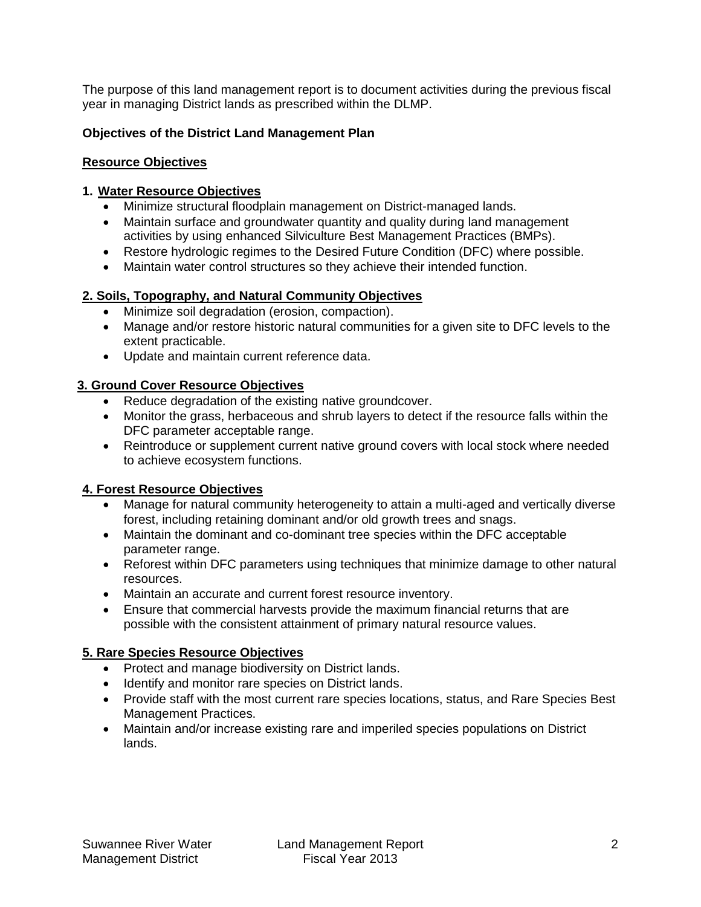The purpose of this land management report is to document activities during the previous fiscal year in managing District lands as prescribed within the DLMP.

# **Objectives of the District Land Management Plan**

## <span id="page-3-0"></span>**Resource Objectives**

## **1. Water Resource Objectives**

- Minimize structural floodplain management on District-managed lands.
- Maintain surface and groundwater quantity and quality during land management activities by using enhanced Silviculture Best Management Practices (BMPs).
- Restore hydrologic regimes to the Desired Future Condition (DFC) where possible.
- Maintain water control structures so they achieve their intended function.

# **2. Soils, Topography, and Natural Community Objectives**

- Minimize soil degradation (erosion, compaction).
- Manage and/or restore historic natural communities for a given site to DFC levels to the extent practicable.
- Update and maintain current reference data.

## **3. Ground Cover Resource Objectives**

- Reduce degradation of the existing native groundcover.
- Monitor the grass, herbaceous and shrub layers to detect if the resource falls within the DFC parameter acceptable range.
- Reintroduce or supplement current native ground covers with local stock where needed to achieve ecosystem functions.

# **4. Forest Resource Objectives**

- Manage for natural community heterogeneity to attain a multi-aged and vertically diverse forest, including retaining dominant and/or old growth trees and snags.
- Maintain the dominant and co-dominant tree species within the DFC acceptable parameter range.
- Reforest within DFC parameters using techniques that minimize damage to other natural resources.
- Maintain an accurate and current forest resource inventory.
- Ensure that commercial harvests provide the maximum financial returns that are possible with the consistent attainment of primary natural resource values.

# **5. Rare Species Resource Objectives**

- Protect and manage biodiversity on District lands.
- Identify and monitor rare species on District lands.
- Provide staff with the most current rare species locations, status, and Rare Species Best Management Practices.
- Maintain and/or increase existing rare and imperiled species populations on District lands.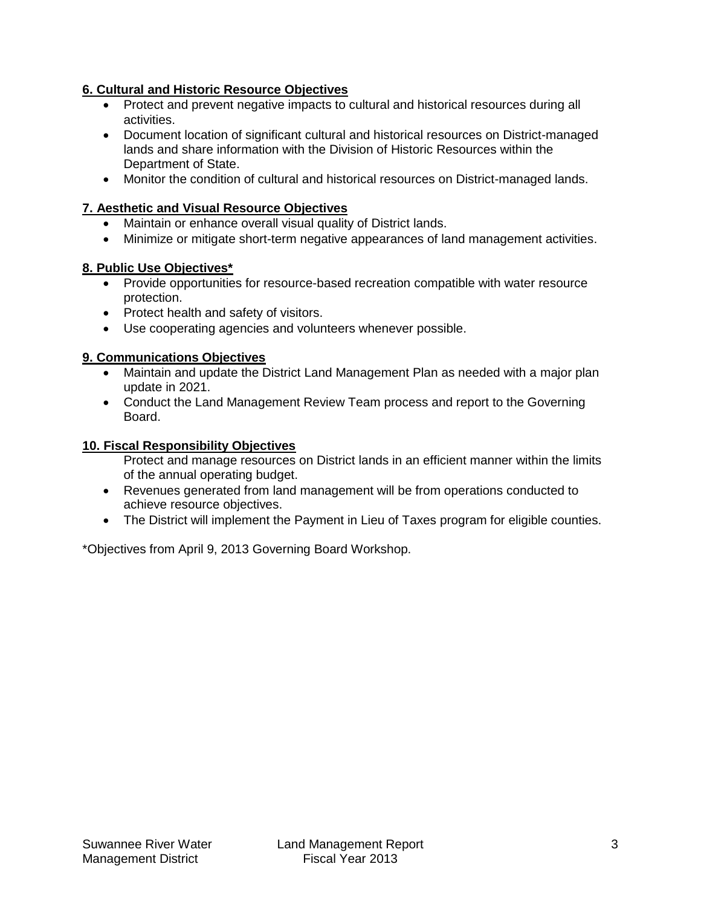# **6. Cultural and Historic Resource Objectives**

- Protect and prevent negative impacts to cultural and historical resources during all activities.
- Document location of significant cultural and historical resources on District-managed lands and share information with the Division of Historic Resources within the Department of State.
- Monitor the condition of cultural and historical resources on District-managed lands.

# **7. Aesthetic and Visual Resource Objectives**

- Maintain or enhance overall visual quality of District lands.
- Minimize or mitigate short-term negative appearances of land management activities.

## **8. Public Use Objectives\***

- Provide opportunities for resource-based recreation compatible with water resource protection.
- Protect health and safety of visitors.
- Use cooperating agencies and volunteers whenever possible.

## **9. Communications Objectives**

- Maintain and update the District Land Management Plan as needed with a major plan update in 2021.
- Conduct the Land Management Review Team process and report to the Governing Board.

## **10. Fiscal Responsibility Objectives**

Protect and manage resources on District lands in an efficient manner within the limits of the annual operating budget.

- Revenues generated from land management will be from operations conducted to achieve resource objectives.
- The District will implement the Payment in Lieu of Taxes program for eligible counties.

\*Objectives from April 9, 2013 Governing Board Workshop.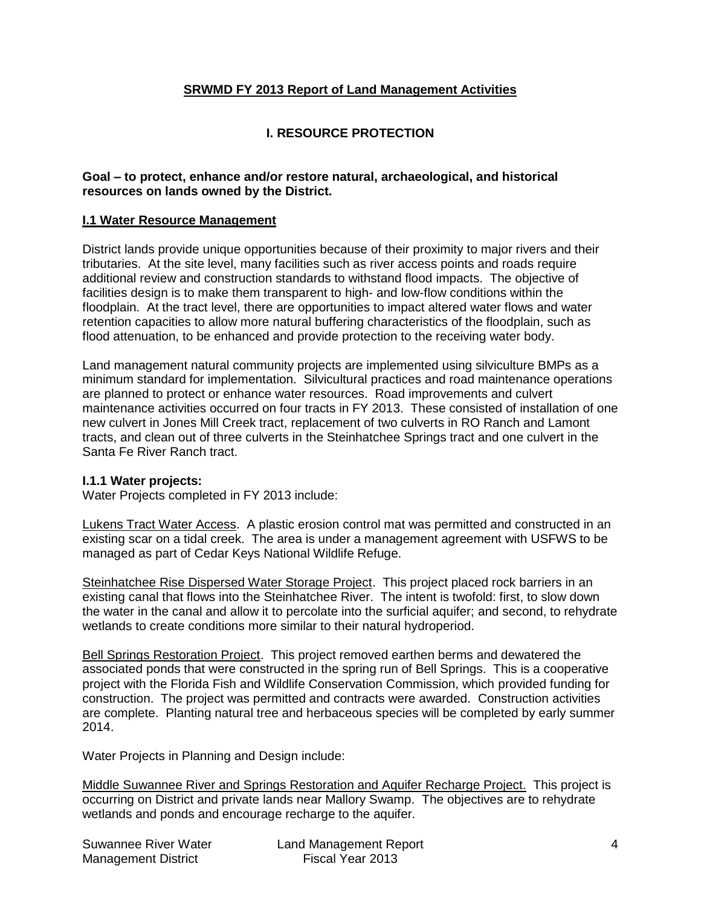## **SRWMD FY 2013 Report of Land Management Activities**

# **I. RESOURCE PROTECTION**

#### <span id="page-5-0"></span>**Goal – to protect, enhance and/or restore natural, archaeological, and historical resources on lands owned by the District.**

#### <span id="page-5-1"></span>**I.1 Water Resource Management**

District lands provide unique opportunities because of their proximity to major rivers and their tributaries. At the site level, many facilities such as river access points and roads require additional review and construction standards to withstand flood impacts. The objective of facilities design is to make them transparent to high- and low-flow conditions within the floodplain. At the tract level, there are opportunities to impact altered water flows and water retention capacities to allow more natural buffering characteristics of the floodplain, such as flood attenuation, to be enhanced and provide protection to the receiving water body.

Land management natural community projects are implemented using silviculture BMPs as a minimum standard for implementation. Silvicultural practices and road maintenance operations are planned to protect or enhance water resources. Road improvements and culvert maintenance activities occurred on four tracts in FY 2013. These consisted of installation of one new culvert in Jones Mill Creek tract, replacement of two culverts in RO Ranch and Lamont tracts, and clean out of three culverts in the Steinhatchee Springs tract and one culvert in the Santa Fe River Ranch tract.

#### **I.1.1 Water projects:**

Water Projects completed in FY 2013 include:

Lukens Tract Water Access. A plastic erosion control mat was permitted and constructed in an existing scar on a tidal creek. The area is under a management agreement with USFWS to be managed as part of Cedar Keys National Wildlife Refuge.

Steinhatchee Rise Dispersed Water Storage Project. This project placed rock barriers in an existing canal that flows into the Steinhatchee River. The intent is twofold: first, to slow down the water in the canal and allow it to percolate into the surficial aquifer; and second, to rehydrate wetlands to create conditions more similar to their natural hydroperiod.

Bell Springs Restoration Project. This project removed earthen berms and dewatered the associated ponds that were constructed in the spring run of Bell Springs. This is a cooperative project with the Florida Fish and Wildlife Conservation Commission, which provided funding for construction. The project was permitted and contracts were awarded. Construction activities are complete. Planting natural tree and herbaceous species will be completed by early summer 2014.

Water Projects in Planning and Design include:

Middle Suwannee River and Springs Restoration and Aquifer Recharge Project. This project is occurring on District and private lands near Mallory Swamp. The objectives are to rehydrate wetlands and ponds and encourage recharge to the aquifer.

| Suwannee River Water       | Land Management Report |  |
|----------------------------|------------------------|--|
| <b>Management District</b> | Fiscal Year 2013       |  |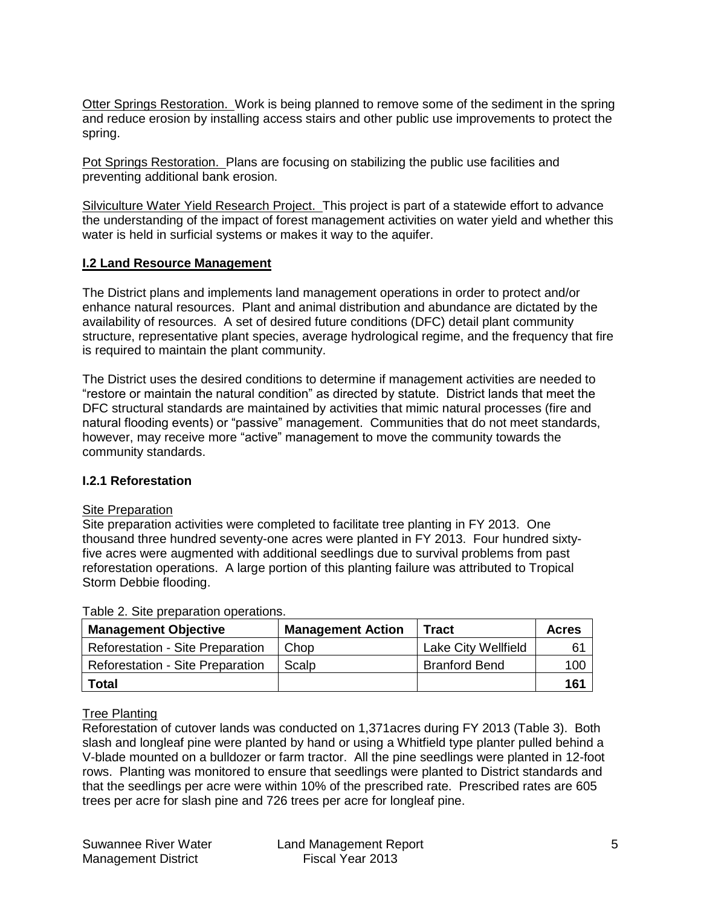Otter Springs Restoration. Work is being planned to remove some of the sediment in the spring and reduce erosion by installing access stairs and other public use improvements to protect the spring.

Pot Springs Restoration. Plans are focusing on stabilizing the public use facilities and preventing additional bank erosion.

Silviculture Water Yield Research Project. This project is part of a statewide effort to advance the understanding of the impact of forest management activities on water yield and whether this water is held in surficial systems or makes it way to the aquifer.

## <span id="page-6-0"></span>**I.2 Land Resource Management**

The District plans and implements land management operations in order to protect and/or enhance natural resources. Plant and animal distribution and abundance are dictated by the availability of resources. A set of desired future conditions (DFC) detail plant community structure, representative plant species, average hydrological regime, and the frequency that fire is required to maintain the plant community.

The District uses the desired conditions to determine if management activities are needed to "restore or maintain the natural condition" as directed by statute. District lands that meet the DFC structural standards are maintained by activities that mimic natural processes (fire and natural flooding events) or "passive" management. Communities that do not meet standards, however, may receive more "active" management to move the community towards the community standards.

## <span id="page-6-1"></span>**I.2.1 Reforestation**

#### Site Preparation

Site preparation activities were completed to facilitate tree planting in FY 2013. One thousand three hundred seventy-one acres were planted in FY 2013. Four hundred sixtyfive acres were augmented with additional seedlings due to survival problems from past reforestation operations. A large portion of this planting failure was attributed to Tropical Storm Debbie flooding.

| <b>Management Objective</b>             | <b>Management Action</b> | Tract                | <b>Acres</b> |
|-----------------------------------------|--------------------------|----------------------|--------------|
| <b>Reforestation - Site Preparation</b> | Chop                     | Lake City Wellfield  | 61           |
| <b>Reforestation - Site Preparation</b> | Scalp                    | <b>Branford Bend</b> | 100          |
| <b>Total</b>                            |                          |                      | 161          |

Table 2. Site preparation operations.

## Tree Planting

Reforestation of cutover lands was conducted on 1,371acres during FY 2013 (Table 3). Both slash and longleaf pine were planted by hand or using a Whitfield type planter pulled behind a V-blade mounted on a bulldozer or farm tractor. All the pine seedlings were planted in 12-foot rows. Planting was monitored to ensure that seedlings were planted to District standards and that the seedlings per acre were within 10% of the prescribed rate. Prescribed rates are 605 trees per acre for slash pine and 726 trees per acre for longleaf pine.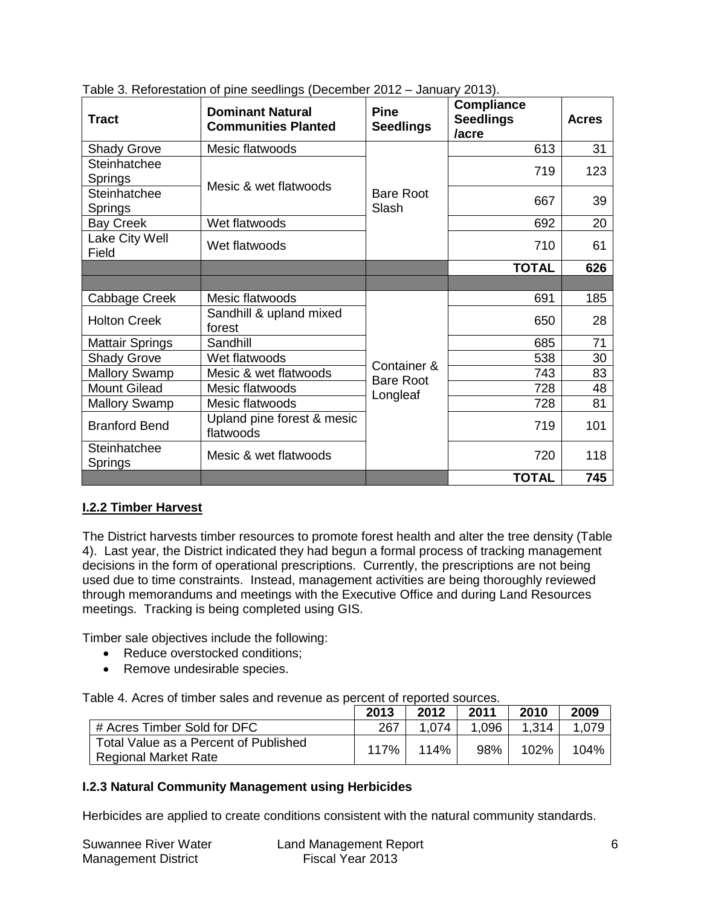| <b>Tract</b>            | <b>Dominant Natural</b><br><b>Communities Planted</b> |                           | <b>Compliance</b><br><b>Seedlings</b><br>/acre | <b>Acres</b> |
|-------------------------|-------------------------------------------------------|---------------------------|------------------------------------------------|--------------|
| <b>Shady Grove</b>      | Mesic flatwoods                                       |                           | 613                                            | 31           |
| Steinhatchee<br>Springs | Mesic & wet flatwoods                                 |                           | 719                                            | 123          |
| Steinhatchee<br>Springs |                                                       | <b>Bare Root</b><br>Slash | 667                                            | 39           |
| <b>Bay Creek</b>        | Wet flatwoods                                         |                           | 692                                            | 20           |
| Lake City Well<br>Field | Wet flatwoods                                         |                           | 710                                            | 61           |
|                         |                                                       |                           | <b>TOTAL</b>                                   | 626          |
|                         |                                                       |                           |                                                |              |
| Cabbage Creek           | Mesic flatwoods                                       |                           | 691                                            | 185          |
| <b>Holton Creek</b>     | Sandhill & upland mixed<br>forest                     |                           | 650                                            | 28           |
| <b>Mattair Springs</b>  | Sandhill                                              |                           | 685                                            | 71           |
| <b>Shady Grove</b>      | Wet flatwoods                                         | Container &               | 538                                            | 30           |
| <b>Mallory Swamp</b>    | Mesic & wet flatwoods                                 | <b>Bare Root</b>          | 743                                            | 83           |
| <b>Mount Gilead</b>     | Mesic flatwoods                                       | Longleaf                  | 728                                            | 48           |
| <b>Mallory Swamp</b>    | Mesic flatwoods                                       |                           | 728                                            | 81           |
| <b>Branford Bend</b>    | Upland pine forest & mesic<br>flatwoods               |                           | 719                                            | 101          |
| Steinhatchee<br>Springs | Mesic & wet flatwoods                                 |                           | 720                                            | 118          |
|                         |                                                       |                           | <b>TOTAL</b>                                   | 745          |

Table 3. Reforestation of pine seedlings (December 2012 – January 2013).

# **I.2.2 Timber Harvest**

The District harvests timber resources to promote forest health and alter the tree density (Table 4). Last year, the District indicated they had begun a formal process of tracking management decisions in the form of operational prescriptions. Currently, the prescriptions are not being used due to time constraints. Instead, management activities are being thoroughly reviewed through memorandums and meetings with the Executive Office and during Land Resources meetings. Tracking is being completed using GIS.

Timber sale objectives include the following:

- Reduce overstocked conditions;
- Remove undesirable species.

Table 4. Acres of timber sales and revenue as percent of reported sources.

|                                                               | 2013 | 2012  | 2011 | 2010  | 2009  |
|---------------------------------------------------------------|------|-------|------|-------|-------|
| # Acres Timber Sold for DFC                                   | 267  | 1.074 | .096 | 1,314 | 1,079 |
| Total Value as a Percent of Published<br>Regional Market Rate | 117% | 114%  | 98%  | 102%  | 104%  |

# <span id="page-7-0"></span>**I.2.3 Natural Community Management using Herbicides**

Herbicides are applied to create conditions consistent with the natural community standards.

| Suwannee River Water       | Land Management Report |  |
|----------------------------|------------------------|--|
| <b>Management District</b> | Fiscal Year 2013       |  |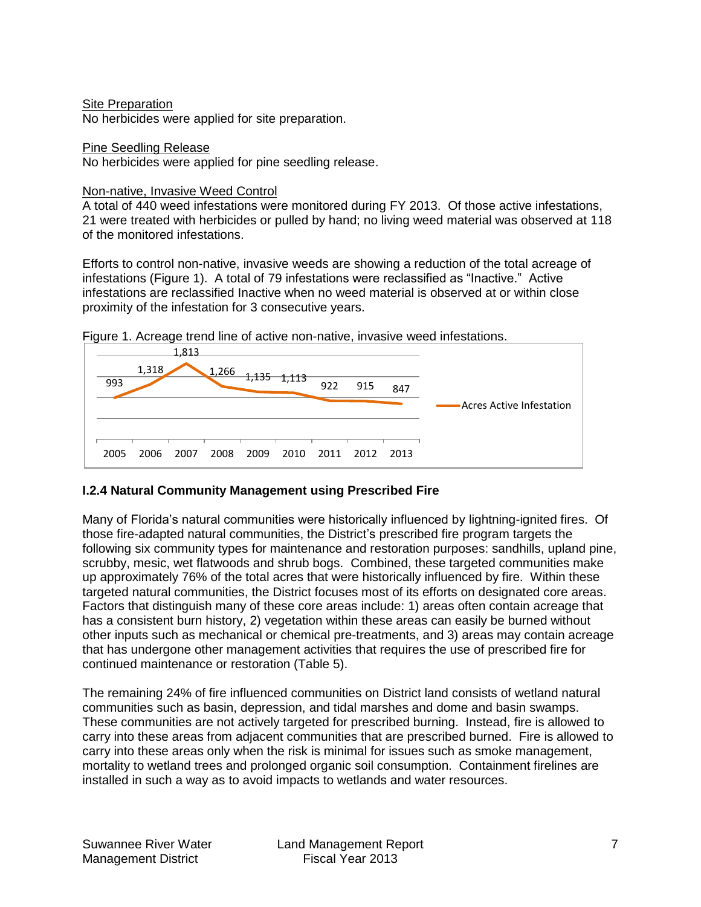#### Site Preparation

No herbicides were applied for site preparation.

#### Pine Seedling Release

No herbicides were applied for pine seedling release.

#### Non-native, Invasive Weed Control

A total of 440 weed infestations were monitored during FY 2013. Of those active infestations, 21 were treated with herbicides or pulled by hand; no living weed material was observed at 118 of the monitored infestations.

Efforts to control non-native, invasive weeds are showing a reduction of the total acreage of infestations (Figure 1). A total of 79 infestations were reclassified as "Inactive." Active infestations are reclassified Inactive when no weed material is observed at or within close proximity of the infestation for 3 consecutive years.



Figure 1. Acreage trend line of active non-native, invasive weed infestations.

# <span id="page-8-0"></span>**I.2.4 Natural Community Management using Prescribed Fire**

Many of Florida's natural communities were historically influenced by lightning-ignited fires. Of those fire-adapted natural communities, the District's prescribed fire program targets the following six community types for maintenance and restoration purposes: sandhills, upland pine, scrubby, mesic, wet flatwoods and shrub bogs. Combined, these targeted communities make up approximately 76% of the total acres that were historically influenced by fire. Within these targeted natural communities, the District focuses most of its efforts on designated core areas. Factors that distinguish many of these core areas include: 1) areas often contain acreage that has a consistent burn history, 2) vegetation within these areas can easily be burned without other inputs such as mechanical or chemical pre-treatments, and 3) areas may contain acreage that has undergone other management activities that requires the use of prescribed fire for continued maintenance or restoration (Table 5).

The remaining 24% of fire influenced communities on District land consists of wetland natural communities such as basin, depression, and tidal marshes and dome and basin swamps. These communities are not actively targeted for prescribed burning. Instead, fire is allowed to carry into these areas from adjacent communities that are prescribed burned. Fire is allowed to carry into these areas only when the risk is minimal for issues such as smoke management, mortality to wetland trees and prolonged organic soil consumption. Containment firelines are installed in such a way as to avoid impacts to wetlands and water resources.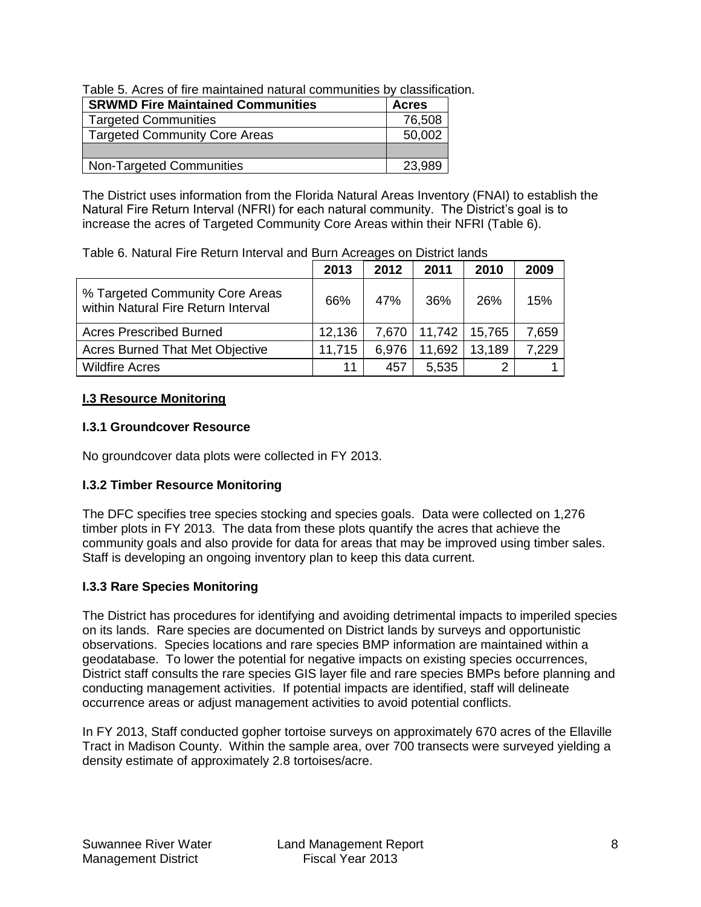| Table 5. Acres of fire maintained natural communities by classification. |  |
|--------------------------------------------------------------------------|--|
|--------------------------------------------------------------------------|--|

| <b>SRWMD Fire Maintained Communities</b> | <b>Acres</b> |
|------------------------------------------|--------------|
| <b>Targeted Communities</b>              | 76,508       |
| <b>Targeted Community Core Areas</b>     | 50,002       |
|                                          |              |
| <b>Non-Targeted Communities</b>          | 23,989       |

The District uses information from the Florida Natural Areas Inventory (FNAI) to establish the Natural Fire Return Interval (NFRI) for each natural community. The District's goal is to increase the acres of Targeted Community Core Areas within their NFRI (Table 6).

|  |  | Table 6. Natural Fire Return Interval and Burn Acreages on District lands |  |
|--|--|---------------------------------------------------------------------------|--|
|  |  |                                                                           |  |

|                                                                        | 2013   | 2012  | 2011   | 2010   | 2009  |
|------------------------------------------------------------------------|--------|-------|--------|--------|-------|
| % Targeted Community Core Areas<br>within Natural Fire Return Interval | 66%    | 47%   | 36%    | 26%    | 15%   |
| <b>Acres Prescribed Burned</b>                                         | 12,136 | 7,670 | 11,742 | 15,765 | 7,659 |
| <b>Acres Burned That Met Objective</b>                                 | 11,715 | 6,976 | 11,692 | 13,189 | 7,229 |
| <b>Wildfire Acres</b>                                                  | 11     | 457   | 5,535  | ◠      |       |

# <span id="page-9-0"></span>**I.3 Resource Monitoring**

# <span id="page-9-1"></span>**I.3.1 Groundcover Resource**

No groundcover data plots were collected in FY 2013.

# **I.3.2 Timber Resource Monitoring**

The DFC specifies tree species stocking and species goals. Data were collected on 1,276 timber plots in FY 2013. The data from these plots quantify the acres that achieve the community goals and also provide for data for areas that may be improved using timber sales. Staff is developing an ongoing inventory plan to keep this data current.

# <span id="page-9-2"></span>**I.3.3 Rare Species Monitoring**

The District has procedures for identifying and avoiding detrimental impacts to imperiled species on its lands. Rare species are documented on District lands by surveys and opportunistic observations. Species locations and rare species BMP information are maintained within a geodatabase. To lower the potential for negative impacts on existing species occurrences, District staff consults the rare species GIS layer file and rare species BMPs before planning and conducting management activities. If potential impacts are identified, staff will delineate occurrence areas or adjust management activities to avoid potential conflicts.

<span id="page-9-3"></span>In FY 2013, Staff conducted gopher tortoise surveys on approximately 670 acres of the Ellaville Tract in Madison County. Within the sample area, over 700 transects were surveyed yielding a density estimate of approximately 2.8 tortoises/acre.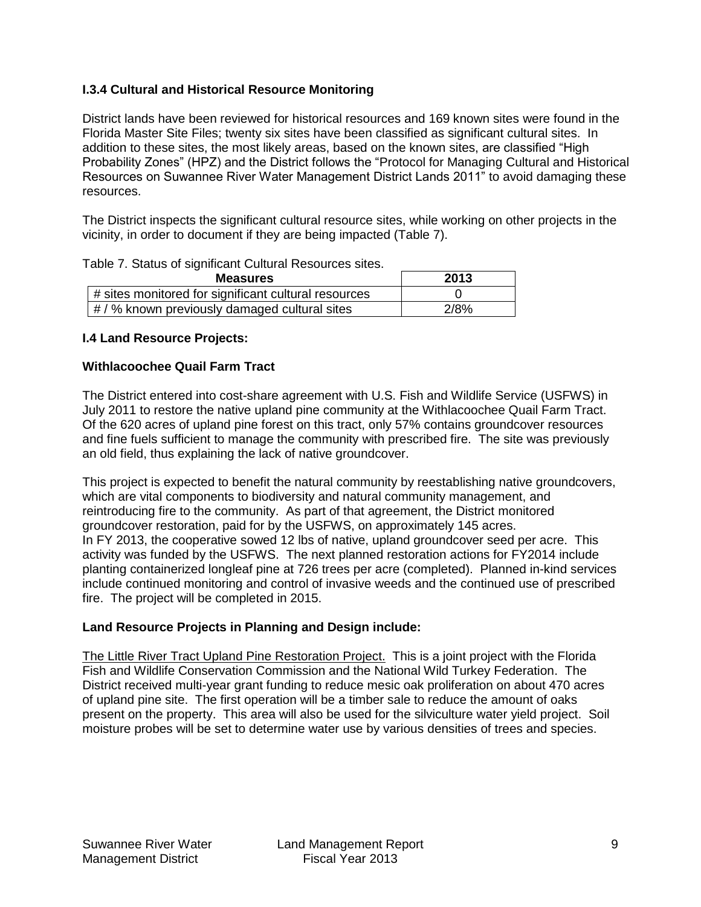# **I.3.4 Cultural and Historical Resource Monitoring**

District lands have been reviewed for historical resources and 169 known sites were found in the Florida Master Site Files; twenty six sites have been classified as significant cultural sites. In addition to these sites, the most likely areas, based on the known sites, are classified "High Probability Zones" (HPZ) and the District follows the "Protocol for Managing Cultural and Historical Resources on Suwannee River Water Management District Lands 2011" to avoid damaging these resources.

The District inspects the significant cultural resource sites, while working on other projects in the vicinity, in order to document if they are being impacted (Table 7).

| Table 7. Status of significant Cultural Resources sites. |  |  |
|----------------------------------------------------------|--|--|
|----------------------------------------------------------|--|--|

| <b>Measures</b>                                      | 2013 |
|------------------------------------------------------|------|
| # sites monitored for significant cultural resources |      |
| $\#$ / % known previously damaged cultural sites     | 2/8% |

## <span id="page-10-0"></span>**I.4 Land Resource Projects:**

## **Withlacoochee Quail Farm Tract**

The District entered into cost-share agreement with U.S. Fish and Wildlife Service (USFWS) in July 2011 to restore the native upland pine community at the Withlacoochee Quail Farm Tract. Of the 620 acres of upland pine forest on this tract, only 57% contains groundcover resources and fine fuels sufficient to manage the community with prescribed fire. The site was previously an old field, thus explaining the lack of native groundcover.

This project is expected to benefit the natural community by reestablishing native groundcovers, which are vital components to biodiversity and natural community management, and reintroducing fire to the community. As part of that agreement, the District monitored groundcover restoration, paid for by the USFWS, on approximately 145 acres. In FY 2013, the cooperative sowed 12 lbs of native, upland groundcover seed per acre. This activity was funded by the USFWS. The next planned restoration actions for FY2014 include planting containerized longleaf pine at 726 trees per acre (completed). Planned in-kind services include continued monitoring and control of invasive weeds and the continued use of prescribed fire. The project will be completed in 2015.

# **Land Resource Projects in Planning and Design include:**

<span id="page-10-1"></span>The Little River Tract Upland Pine Restoration Project. This is a joint project with the Florida Fish and Wildlife Conservation Commission and the National Wild Turkey Federation. The District received multi-year grant funding to reduce mesic oak proliferation on about 470 acres of upland pine site. The first operation will be a timber sale to reduce the amount of oaks present on the property. This area will also be used for the silviculture water yield project. Soil moisture probes will be set to determine water use by various densities of trees and species.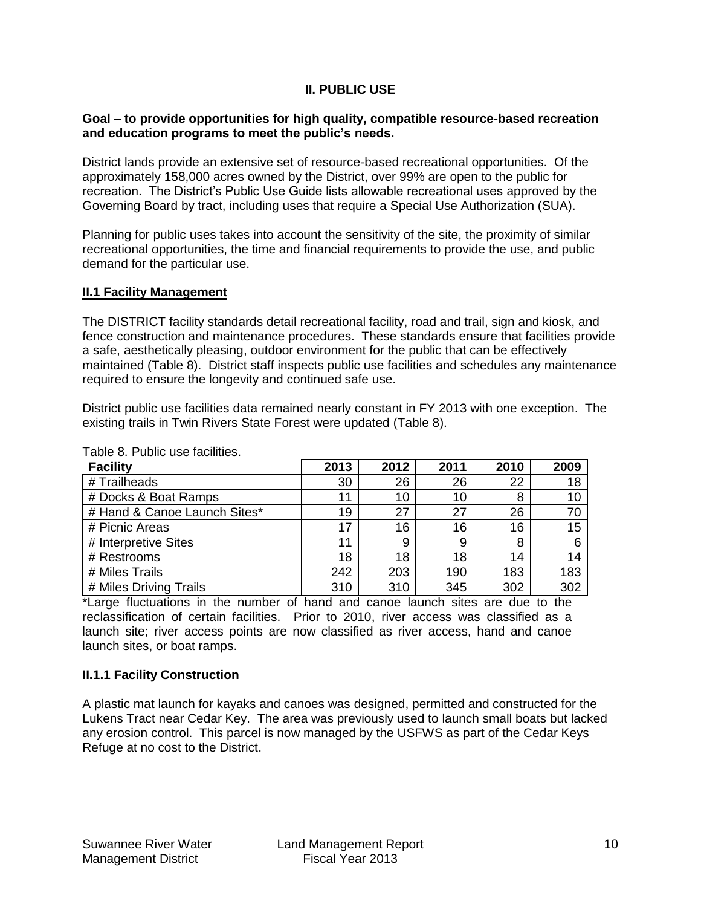## **II. PUBLIC USE**

#### **Goal – to provide opportunities for high quality, compatible resource-based recreation and education programs to meet the public's needs.**

District lands provide an extensive set of resource-based recreational opportunities. Of the approximately 158,000 acres owned by the District, over 99% are open to the public for recreation. The District's Public Use Guide lists allowable recreational uses approved by the Governing Board by tract, including uses that require a Special Use Authorization (SUA).

Planning for public uses takes into account the sensitivity of the site, the proximity of similar recreational opportunities, the time and financial requirements to provide the use, and public demand for the particular use.

#### <span id="page-11-0"></span>**II.1 Facility Management**

The DISTRICT facility standards detail recreational facility, road and trail, sign and kiosk, and fence construction and maintenance procedures. These standards ensure that facilities provide a safe, aesthetically pleasing, outdoor environment for the public that can be effectively maintained (Table 8). District staff inspects public use facilities and schedules any maintenance required to ensure the longevity and continued safe use.

District public use facilities data remained nearly constant in FY 2013 with one exception. The existing trails in Twin Rivers State Forest were updated (Table 8).

| <b>Facility</b>              | 2013 | 2012 | 2011 | 2010 | 2009 |
|------------------------------|------|------|------|------|------|
| # Trailheads                 | 30   | 26   | 26   | 22   | 18   |
| # Docks & Boat Ramps         | 11   | 10   | 10   | 8    | 10   |
| # Hand & Canoe Launch Sites* | 19   | 27   | 27   | 26   | 70   |
| # Picnic Areas               | 17   | 16   | 16   | 16   | 15   |
| # Interpretive Sites         | 11   | 9    | 9    | 8    | 6    |
| # Restrooms                  | 18   | 18   | 18   | 14   | 14   |
| # Miles Trails               | 242  | 203  | 190  | 183  | 183  |
| # Miles Driving Trails       | 310  | 310  | 345  | 302  | 302  |

Table 8. Public use facilities.

\*Large fluctuations in the number of hand and canoe launch sites are due to the reclassification of certain facilities. Prior to 2010, river access was classified as a launch site; river access points are now classified as river access, hand and canoe launch sites, or boat ramps.

## <span id="page-11-1"></span>**II.1.1 Facility Construction**

A plastic mat launch for kayaks and canoes was designed, permitted and constructed for the Lukens Tract near Cedar Key. The area was previously used to launch small boats but lacked any erosion control. This parcel is now managed by the USFWS as part of the Cedar Keys Refuge at no cost to the District.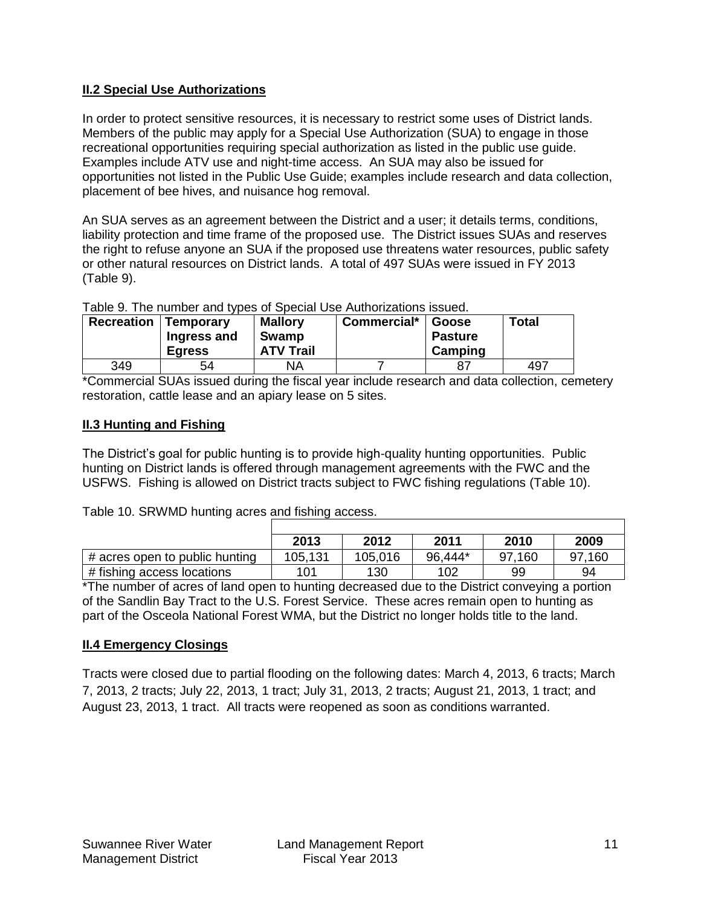# <span id="page-12-0"></span>**II.2 Special Use Authorizations**

In order to protect sensitive resources, it is necessary to restrict some uses of District lands. Members of the public may apply for a Special Use Authorization (SUA) to engage in those recreational opportunities requiring special authorization as listed in the public use guide. Examples include ATV use and night-time access. An SUA may also be issued for opportunities not listed in the Public Use Guide; examples include research and data collection, placement of bee hives, and nuisance hog removal.

An SUA serves as an agreement between the District and a user; it details terms, conditions, liability protection and time frame of the proposed use. The District issues SUAs and reserves the right to refuse anyone an SUA if the proposed use threatens water resources, public safety or other natural resources on District lands. A total of 497 SUAs were issued in FY 2013 (Table 9).

| <b>Recreation</b> | Table 5. THe Humber and types of Opecial OSE Additionizations issued.<br><b>Temporary</b><br>Ingress and<br><b>Egress</b> | <b>Total</b><br>Commercial*<br><b>Mallory</b><br>Goose<br>Swamp<br><b>Pasture</b><br><b>ATV Trail</b><br>Camping |  |  |     |  |  |  |
|-------------------|---------------------------------------------------------------------------------------------------------------------------|------------------------------------------------------------------------------------------------------------------|--|--|-----|--|--|--|
| 349               | 54                                                                                                                        | NA                                                                                                               |  |  | 497 |  |  |  |

# Table 9. The number and types of Special Use Authorizations issued.

\*Commercial SUAs issued during the fiscal year include research and data collection, cemetery restoration, cattle lease and an apiary lease on 5 sites.

## <span id="page-12-1"></span>**II.3 Hunting and Fishing**

The District's goal for public hunting is to provide high-quality hunting opportunities. Public hunting on District lands is offered through management agreements with the FWC and the USFWS. Fishing is allowed on District tracts subject to FWC fishing regulations (Table 10).

## Table 10. SRWMD hunting acres and fishing access.

|                                | 2013    | 2012    | 2011    | 2010   | 2009   |
|--------------------------------|---------|---------|---------|--------|--------|
| # acres open to public hunting | 105,131 | 105,016 | 96,444* | 97,160 | 97,160 |
| # fishing access locations     | 101     | 130     | 102     | 99     | 94     |

\*The number of acres of land open to hunting decreased due to the District conveying a portion of the Sandlin Bay Tract to the U.S. Forest Service. These acres remain open to hunting as part of the Osceola National Forest WMA, but the District no longer holds title to the land.

# <span id="page-12-2"></span>**II.4 Emergency Closings**

<span id="page-12-3"></span>Tracts were closed due to partial flooding on the following dates: March 4, 2013, 6 tracts; March 7, 2013, 2 tracts; July 22, 2013, 1 tract; July 31, 2013, 2 tracts; August 21, 2013, 1 tract; and August 23, 2013, 1 tract. All tracts were reopened as soon as conditions warranted.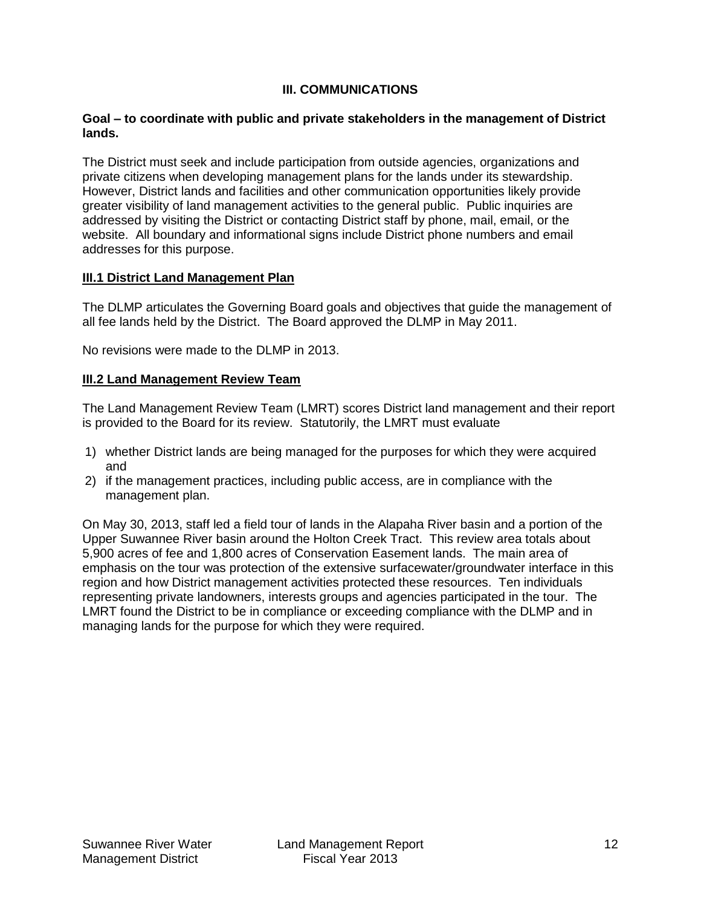## **III. COMMUNICATIONS**

#### **Goal – to coordinate with public and private stakeholders in the management of District lands.**

The District must seek and include participation from outside agencies, organizations and private citizens when developing management plans for the lands under its stewardship. However, District lands and facilities and other communication opportunities likely provide greater visibility of land management activities to the general public. Public inquiries are addressed by visiting the District or contacting District staff by phone, mail, email, or the website. All boundary and informational signs include District phone numbers and email addresses for this purpose.

## <span id="page-13-0"></span>**III.1 District Land Management Plan**

The DLMP articulates the Governing Board goals and objectives that guide the management of all fee lands held by the District. The Board approved the DLMP in May 2011.

No revisions were made to the DLMP in 2013.

## <span id="page-13-1"></span>**III.2 Land Management Review Team**

The Land Management Review Team (LMRT) scores District land management and their report is provided to the Board for its review. Statutorily, the LMRT must evaluate

- 1) whether District lands are being managed for the purposes for which they were acquired and
- 2) if the management practices, including public access, are in compliance with the management plan.

On May 30, 2013, staff led a field tour of lands in the Alapaha River basin and a portion of the Upper Suwannee River basin around the Holton Creek Tract. This review area totals about 5,900 acres of fee and 1,800 acres of Conservation Easement lands. The main area of emphasis on the tour was protection of the extensive surfacewater/groundwater interface in this region and how District management activities protected these resources. Ten individuals representing private landowners, interests groups and agencies participated in the tour. The LMRT found the District to be in compliance or exceeding compliance with the DLMP and in managing lands for the purpose for which they were required.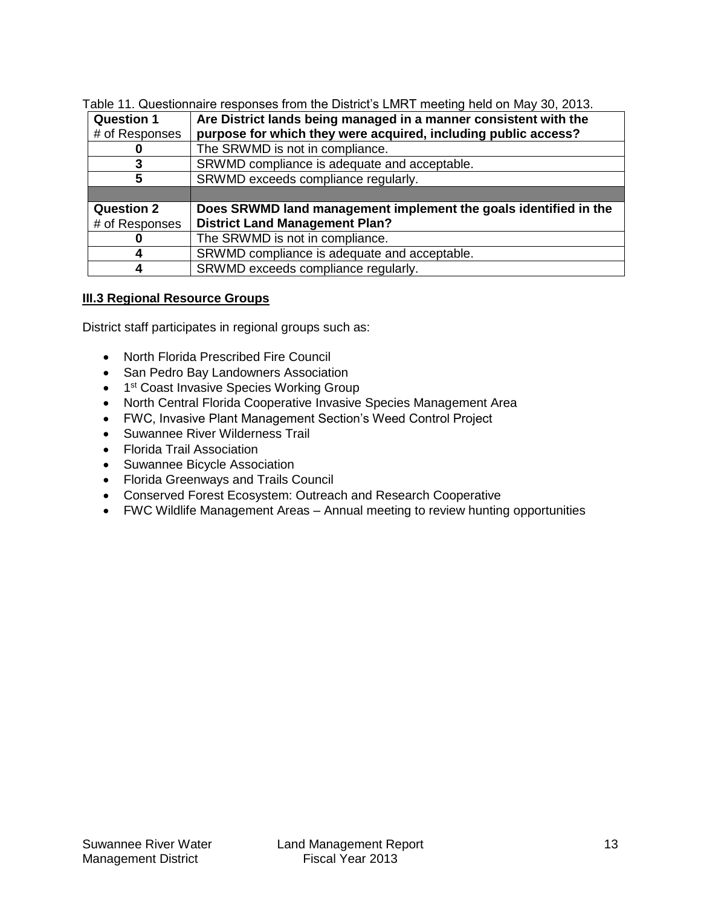Table 11. Questionnaire responses from the District's LMRT meeting held on May 30, 2013.

| <b>Question 1</b> | Are District lands being managed in a manner consistent with the |
|-------------------|------------------------------------------------------------------|
| # of Responses    | purpose for which they were acquired, including public access?   |
|                   | The SRWMD is not in compliance.                                  |
|                   | SRWMD compliance is adequate and acceptable.                     |
| 5                 | SRWMD exceeds compliance regularly.                              |
|                   |                                                                  |
| <b>Question 2</b> | Does SRWMD land management implement the goals identified in the |
| # of Responses    | <b>District Land Management Plan?</b>                            |
|                   | The SRWMD is not in compliance.                                  |
|                   | SRWMD compliance is adequate and acceptable.                     |
|                   | SRWMD exceeds compliance regularly.                              |

# **III.3 Regional Resource Groups**

District staff participates in regional groups such as:

- North Florida Prescribed Fire Council
- San Pedro Bay Landowners Association
- 1<sup>st</sup> Coast Invasive Species Working Group
- North Central Florida Cooperative Invasive Species Management Area
- FWC, Invasive Plant Management Section's Weed Control Project
- Suwannee River Wilderness Trail
- Florida Trail Association
- Suwannee Bicycle Association
- Florida Greenways and Trails Council
- Conserved Forest Ecosystem: Outreach and Research Cooperative
- FWC Wildlife Management Areas Annual meeting to review hunting opportunities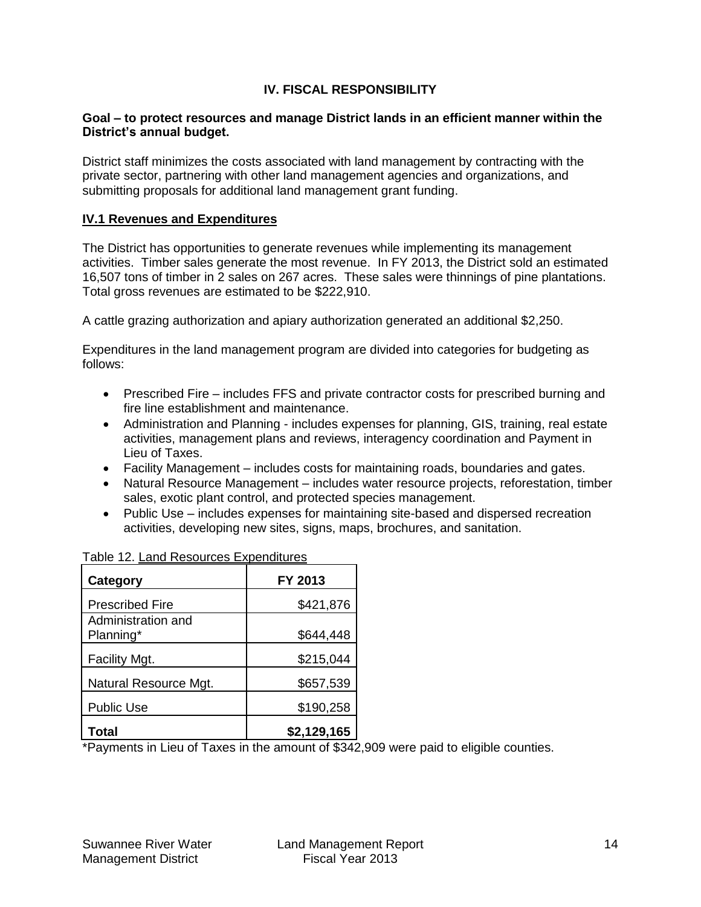# **IV. FISCAL RESPONSIBILITY**

#### **Goal – to protect resources and manage District lands in an efficient manner within the District's annual budget.**

District staff minimizes the costs associated with land management by contracting with the private sector, partnering with other land management agencies and organizations, and submitting proposals for additional land management grant funding.

#### <span id="page-15-0"></span>**IV.1 Revenues and Expenditures**

The District has opportunities to generate revenues while implementing its management activities. Timber sales generate the most revenue. In FY 2013, the District sold an estimated 16,507 tons of timber in 2 sales on 267 acres. These sales were thinnings of pine plantations. Total gross revenues are estimated to be \$222,910.

A cattle grazing authorization and apiary authorization generated an additional \$2,250.

Expenditures in the land management program are divided into categories for budgeting as follows:

- Prescribed Fire includes FFS and private contractor costs for prescribed burning and fire line establishment and maintenance.
- Administration and Planning includes expenses for planning, GIS, training, real estate activities, management plans and reviews, interagency coordination and Payment in Lieu of Taxes.
- Facility Management includes costs for maintaining roads, boundaries and gates.
- Natural Resource Management includes water resource projects, reforestation, timber sales, exotic plant control, and protected species management.
- Public Use includes expenses for maintaining site-based and dispersed recreation activities, developing new sites, signs, maps, brochures, and sanitation.

| <b>Category</b>                 | FY 2013     |
|---------------------------------|-------------|
| <b>Prescribed Fire</b>          | \$421,876   |
| Administration and<br>Planning* | \$644,448   |
| Facility Mgt.                   | \$215,044   |
| Natural Resource Mgt.           | \$657,539   |
| <b>Public Use</b>               | \$190,258   |
| Total                           | \$2,129,165 |

Table 12. Land Resources Expenditures

<span id="page-15-1"></span>\*Payments in Lieu of Taxes in the amount of \$342,909 were paid to eligible counties.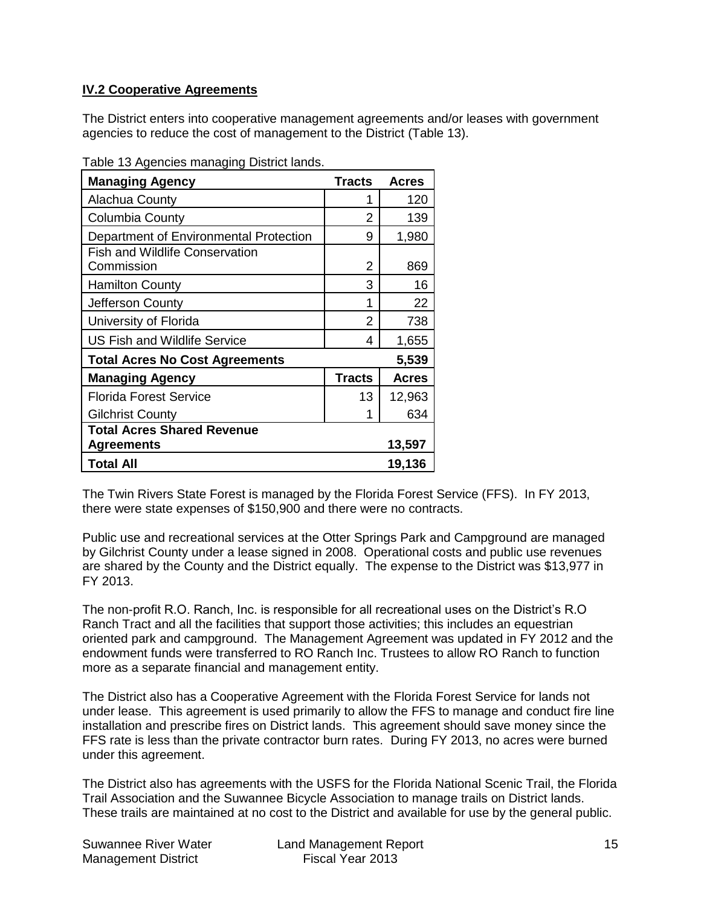# **IV.2 Cooperative Agreements**

The District enters into cooperative management agreements and/or leases with government agencies to reduce the cost of management to the District (Table 13).

Table 13 Agencies managing District lands.

| ------ ------------- ס<br><b>Managing Agency</b>    | <b>Tracts</b> | <b>Acres</b> |
|-----------------------------------------------------|---------------|--------------|
| Alachua County                                      | 1             | 120          |
| <b>Columbia County</b>                              | 2             | 139          |
| Department of Environmental Protection              | 9             | 1,980        |
| <b>Fish and Wildlife Conservation</b><br>Commission | 2             | 869          |
| <b>Hamilton County</b>                              | 3             | 16           |
| Jefferson County                                    | 1             | 22           |
| University of Florida                               | 2             | 738          |
| <b>US Fish and Wildlife Service</b>                 | 4             | 1,655        |
| <b>Total Acres No Cost Agreements</b>               |               | 5,539        |
| <b>Managing Agency</b>                              | <b>Tracts</b> | <b>Acres</b> |
| <b>Florida Forest Service</b>                       | 13            | 12,963       |
| <b>Gilchrist County</b>                             |               | 634          |
| Total Acres Shared Revenue<br><b>Agreements</b>     |               | 13,597       |
| <b>Total All</b>                                    |               | 19,136       |

The Twin Rivers State Forest is managed by the Florida Forest Service (FFS). In FY 2013, there were state expenses of \$150,900 and there were no contracts.

Public use and recreational services at the Otter Springs Park and Campground are managed by Gilchrist County under a lease signed in 2008. Operational costs and public use revenues are shared by the County and the District equally. The expense to the District was \$13,977 in FY 2013.

The non-profit R.O. Ranch, Inc. is responsible for all recreational uses on the District's R.O Ranch Tract and all the facilities that support those activities; this includes an equestrian oriented park and campground. The Management Agreement was updated in FY 2012 and the endowment funds were transferred to RO Ranch Inc. Trustees to allow RO Ranch to function more as a separate financial and management entity.

The District also has a Cooperative Agreement with the Florida Forest Service for lands not under lease. This agreement is used primarily to allow the FFS to manage and conduct fire line installation and prescribe fires on District lands. This agreement should save money since the FFS rate is less than the private contractor burn rates. During FY 2013, no acres were burned under this agreement.

The District also has agreements with the USFS for the Florida National Scenic Trail, the Florida Trail Association and the Suwannee Bicycle Association to manage trails on District lands. These trails are maintained at no cost to the District and available for use by the general public.

| Suwannee River Water       | Land Management Report |  |
|----------------------------|------------------------|--|
| <b>Management District</b> | Fiscal Year 2013       |  |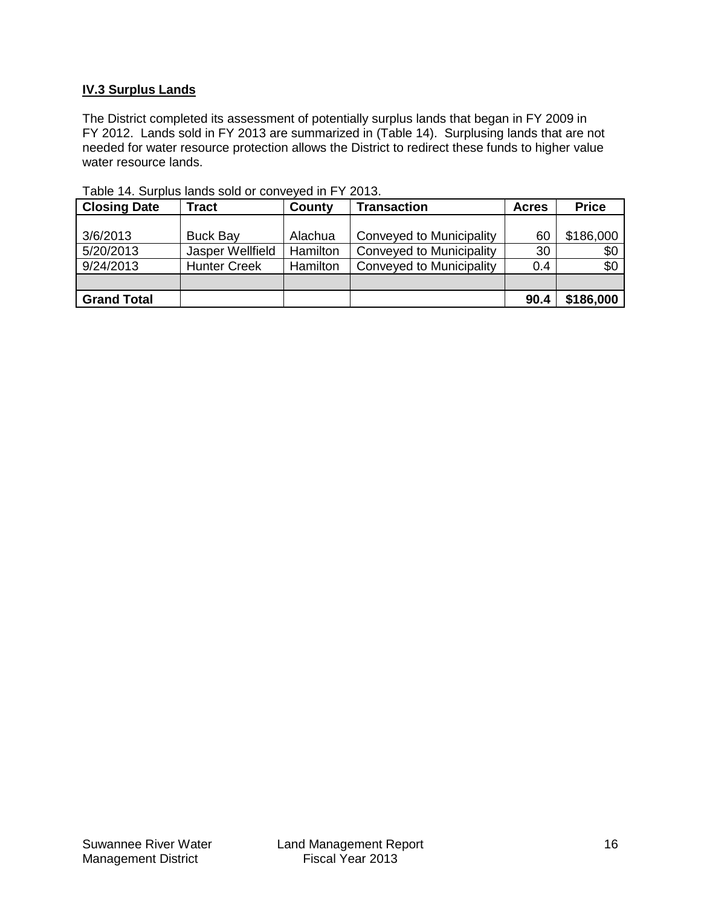# **IV.3 Surplus Lands**

The District completed its assessment of potentially surplus lands that began in FY 2009 in FY 2012. Lands sold in FY 2013 are summarized in (Table 14). Surplusing lands that are not needed for water resource protection allows the District to redirect these funds to higher value water resource lands.

| <b>Closing Date</b> | <b>Tract</b>        | County   | <b>Transaction</b>              | <b>Acres</b> | <b>Price</b> |
|---------------------|---------------------|----------|---------------------------------|--------------|--------------|
|                     |                     |          |                                 |              |              |
| 3/6/2013            | <b>Buck Bay</b>     | Alachua  | Conveyed to Municipality        | 60           | \$186,000    |
| 5/20/2013           | Jasper Wellfield    | Hamilton | <b>Conveyed to Municipality</b> | 30           | \$0          |
| 9/24/2013           | <b>Hunter Creek</b> | Hamilton | Conveyed to Municipality        | 0.4          | \$0          |
|                     |                     |          |                                 |              |              |
| <b>Grand Total</b>  |                     |          |                                 | 90.4         | \$186,000    |

Table 14. Surplus lands sold or conveyed in FY 2013.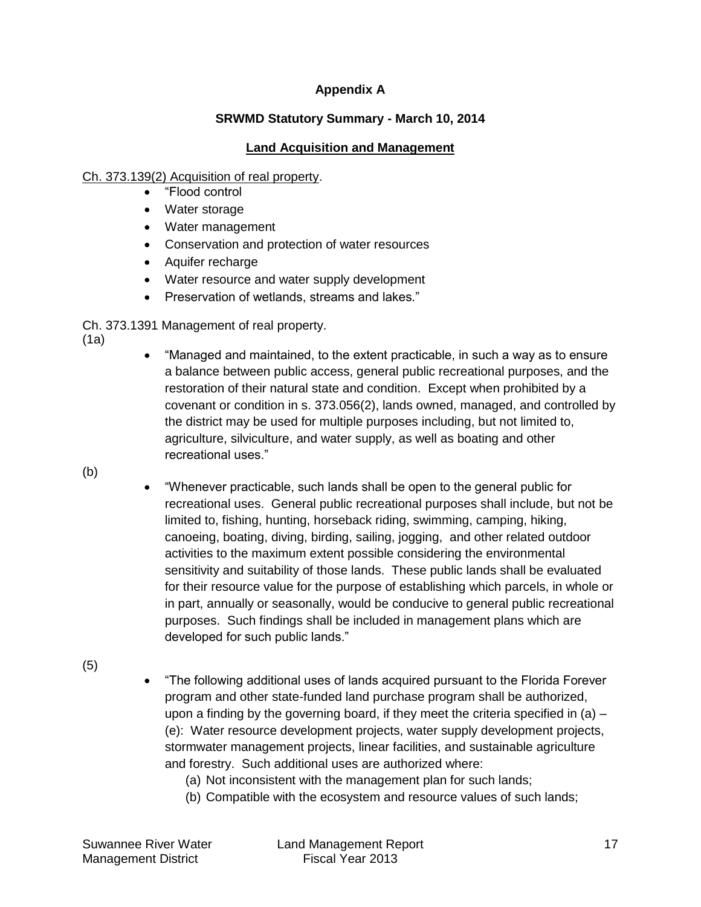# **Appendix A**

# **SRWMD Statutory Summary - March 10, 2014**

# **Land Acquisition and Management**

# Ch. 373.139(2) Acquisition of real property.

- "Flood control
- Water storage
- Water management
- Conservation and protection of water resources
- Aquifer recharge
- Water resource and water supply development
- Preservation of wetlands, streams and lakes."

Ch. 373.1391 Management of real property.

- (1a)
- "Managed and maintained, to the extent practicable, in such a way as to ensure a balance between public access, general public recreational purposes, and the restoration of their natural state and condition. Except when prohibited by a covenant or condition in s. 373.056(2), lands owned, managed, and controlled by the district may be used for multiple purposes including, but not limited to, agriculture, silviculture, and water supply, as well as boating and other recreational uses."
- (b)
- "Whenever practicable, such lands shall be open to the general public for recreational uses. General public recreational purposes shall include, but not be limited to, fishing, hunting, horseback riding, swimming, camping, hiking, canoeing, boating, diving, birding, sailing, jogging, and other related outdoor activities to the maximum extent possible considering the environmental sensitivity and suitability of those lands. These public lands shall be evaluated for their resource value for the purpose of establishing which parcels, in whole or in part, annually or seasonally, would be conducive to general public recreational purposes. Such findings shall be included in management plans which are developed for such public lands."
- (5)
- "The following additional uses of lands acquired pursuant to the Florida Forever program and other state-funded land purchase program shall be authorized, upon a finding by the governing board, if they meet the criteria specified in  $(a)$  – (e): Water resource development projects, water supply development projects, stormwater management projects, linear facilities, and sustainable agriculture and forestry. Such additional uses are authorized where:
	- (a) Not inconsistent with the management plan for such lands;
	- (b) Compatible with the ecosystem and resource values of such lands;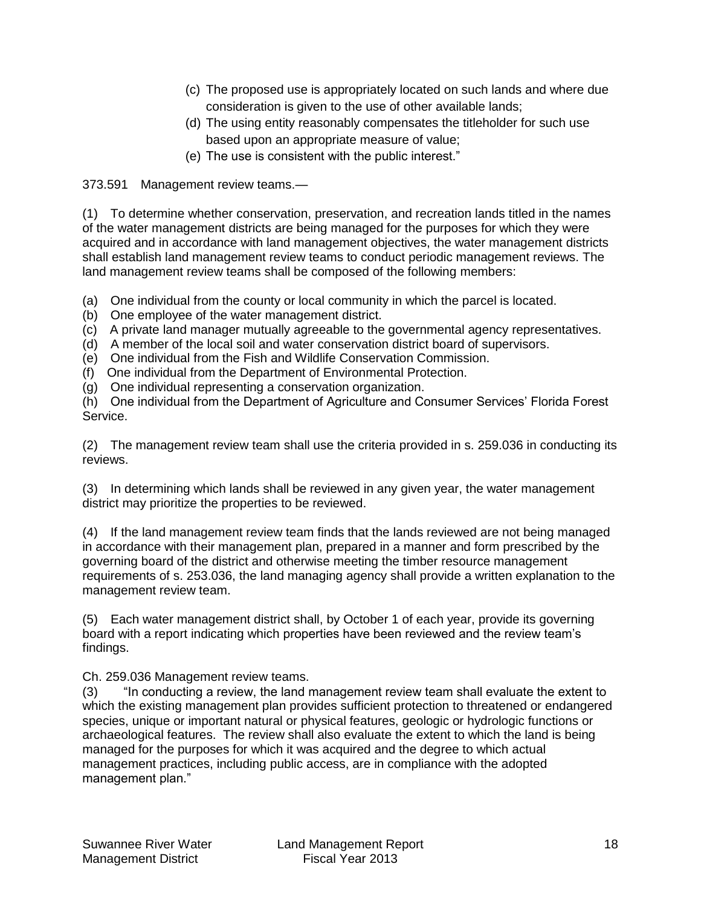- (c) The proposed use is appropriately located on such lands and where due consideration is given to the use of other available lands;
- (d) The using entity reasonably compensates the titleholder for such use based upon an appropriate measure of value;
- (e) The use is consistent with the public interest."

# 373.591 Management review teams.—

(1) To determine whether conservation, preservation, and recreation lands titled in the names of the water management districts are being managed for the purposes for which they were acquired and in accordance with land management objectives, the water management districts shall establish land management review teams to conduct periodic management reviews. The land management review teams shall be composed of the following members:

(a) One individual from the county or local community in which the parcel is located.

- (b) One employee of the water management district.
- (c) A private land manager mutually agreeable to the governmental agency representatives.
- (d) A member of the local soil and water conservation district board of supervisors.
- (e) One individual from the Fish and Wildlife Conservation Commission.
- (f) One individual from the Department of Environmental Protection.
- (g) One individual representing a conservation organization.

(h) One individual from the Department of Agriculture and Consumer Services' Florida Forest Service.

(2) The management review team shall use the criteria provided in s. 259.036 in conducting its reviews.

(3) In determining which lands shall be reviewed in any given year, the water management district may prioritize the properties to be reviewed.

(4) If the land management review team finds that the lands reviewed are not being managed in accordance with their management plan, prepared in a manner and form prescribed by the governing board of the district and otherwise meeting the timber resource management requirements of s. 253.036, the land managing agency shall provide a written explanation to the management review team.

(5) Each water management district shall, by October 1 of each year, provide its governing board with a report indicating which properties have been reviewed and the review team's findings.

Ch. 259.036 Management review teams.

(3) "In conducting a review, the land management review team shall evaluate the extent to which the existing management plan provides sufficient protection to threatened or endangered species, unique or important natural or physical features, geologic or hydrologic functions or archaeological features. The review shall also evaluate the extent to which the land is being managed for the purposes for which it was acquired and the degree to which actual management practices, including public access, are in compliance with the adopted management plan."